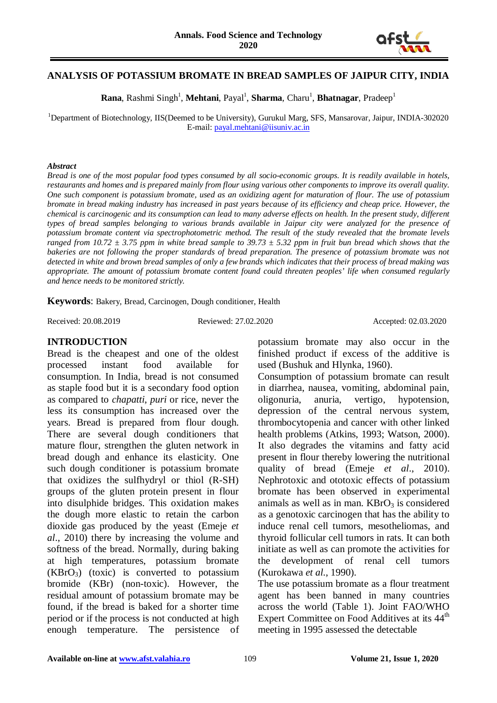

#### **ANALYSIS OF POTASSIUM BROMATE IN BREAD SAMPLES OF JAIPUR CITY, INDIA**

**Rana**, Rashmi Singh<sup>1</sup>, Mehtani, Payal<sup>1</sup>, Sharma, Charu<sup>1</sup>, Bhatnagar, Pradeep<sup>1</sup>

<sup>1</sup>Department of Biotechnology, IIS(Deemed to be University), Gurukul Marg, SFS, Mansarovar, Jaipur, INDIA-302020 E-mail[: payal.mehtani@iisuniv.ac.in](mailto:payal.mehtani@iisuniv.ac.in)

#### *Abstract*

*Bread is one of the most popular food types consumed by all socio-economic groups. It is readily available in hotels, restaurants and homes and is prepared mainly from flour using various other components to improve its overall quality. One such component is potassium bromate, used as an oxidizing agent for maturation of flour. The use of potassium bromate in bread making industry has increased in past years because of its efficiency and cheap price. However, the chemical is carcinogenic and its consumption can lead to many adverse effects on health. In the present study, different types of bread samples belonging to various brands available in Jaipur city were analyzed for the presence of potassium bromate content via spectrophotometric method. The result of the study revealed that the bromate levels ranged from 10.72*  $\pm$  3.75 ppm in white bread sample to 39.73  $\pm$  5.32 ppm in fruit bun bread which shows that the *bakeries are not following the proper standards of bread preparation. The presence of potassium bromate was not detected in white and brown bread samples of only a few brands which indicates that their process of bread making was appropriate. The amount of potassium bromate content found could threaten peoples' life when consumed regularly and hence needs to be monitored strictly.*

**Keywords**: Bakery, Bread, Carcinogen, Dough conditioner, Health

Received: 20.08.2019 Reviewed: 27.02.2020 Accepted: 02.03.2020

#### **INTRODUCTION**

Bread is the cheapest and one of the oldest processed instant food available for consumption. In India, bread is not consumed as staple food but it is a secondary food option as compared to *chapatti*, *puri* or rice, never the less its consumption has increased over the years. Bread is prepared from flour dough. There are several dough conditioners that mature flour, strengthen the gluten network in bread dough and enhance its elasticity. One such dough conditioner is potassium bromate that oxidizes the sulfhydryl or thiol (R-SH) groups of the gluten protein present in flour into disulphide bridges. This oxidation makes the dough more elastic to retain the carbon dioxide gas produced by the yeast (Emeje *et al*., 2010) there by increasing the volume and softness of the bread. Normally, during baking at high temperatures, potassium bromate  $(KBrO<sub>3</sub>)$  (toxic) is converted to potassium bromide (KBr) (non-toxic). However, the residual amount of potassium bromate may be found, if the bread is baked for a shorter time period or if the process is not conducted at high enough temperature. The persistence of potassium bromate may also occur in the finished product if excess of the additive is used (Bushuk and Hlynka, 1960).

Consumption of potassium bromate can result in diarrhea, nausea, vomiting, abdominal pain, oligonuria, anuria, vertigo, hypotension, depression of the central nervous system, thrombocytopenia and cancer with other linked health problems (Atkins, 1993; Watson, 2000). It also degrades the vitamins and fatty acid present in flour thereby lowering the nutritional quality of bread (Emeje *et al*., 2010). Nephrotoxic and ototoxic effects of potassium bromate has been observed in experimental animals as well as in man.  $KBrO<sub>3</sub>$  is considered as a genotoxic carcinogen that has the ability to induce renal cell tumors, mesotheliomas, and thyroid follicular cell tumors in rats. It can both initiate as well as can promote the activities for the development of renal cell tumors (Kurokawa *et al*., 1990).

The use potassium bromate as a flour treatment agent has been banned in many countries across the world (Table 1). Joint FAO/WHO Expert Committee on Food Additives at its 44<sup>th</sup> meeting in 1995 assessed the detectable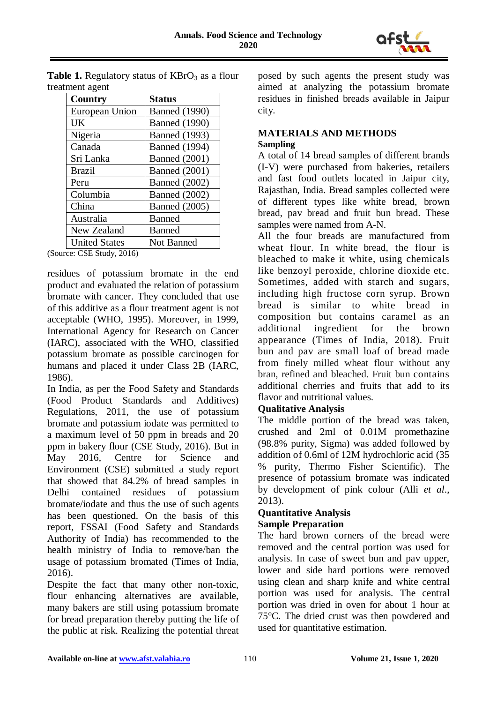

| <b>Country</b>       | <b>Status</b>        |
|----------------------|----------------------|
| European Union       | <b>Banned</b> (1990) |
| UK                   | <b>Banned</b> (1990) |
| Nigeria              | <b>Banned</b> (1993) |
| Canada               | <b>Banned</b> (1994) |
| Sri Lanka            | <b>Banned</b> (2001) |
| <b>Brazil</b>        | <b>Banned</b> (2001) |
| Peru                 | <b>Banned</b> (2002) |
| Columbia             | <b>Banned</b> (2002) |
| China                | <b>Banned</b> (2005) |
| Australia            | <b>Banned</b>        |
| New Zealand          | Banned               |
| <b>United States</b> | Not Banned           |

**Table 1.** Regulatory status of  $KBrO<sub>3</sub>$  as a flour treatment agent

(Source: CSE Study, 2016)

residues of potassium bromate in the end product and evaluated the relation of potassium bromate with cancer. They concluded that use of this additive as a flour treatment agent is not acceptable (WHO, 1995). Moreover, in 1999, International Agency for Research on Cancer (IARC), associated with the WHO, classified potassium bromate as possible carcinogen for humans and placed it under Class 2B (IARC, 1986).

In India, as per the Food Safety and Standards (Food Product Standards and Additives) Regulations, 2011, the use of potassium bromate and potassium iodate was permitted to a maximum level of 50 ppm in breads and 20 ppm in bakery flour (CSE Study, 2016). But in May 2016, Centre for Science and Environment (CSE) submitted a study report that showed that 84.2% of bread samples in Delhi contained residues of potassium bromate/iodate and thus the use of such agents has been questioned. On the basis of this report, FSSAI (Food Safety and Standards Authority of India) has recommended to the health ministry of India to remove/ban the usage of potassium bromated (Times of India, 2016).

Despite the fact that many other non-toxic, flour enhancing alternatives are available, many bakers are still using potassium bromate for bread preparation thereby putting the life of the public at risk. Realizing the potential threat posed by such agents the present study was aimed at analyzing the potassium bromate residues in finished breads available in Jaipur city.

# **MATERIALS AND METHODS**

**Sampling**

A total of 14 bread samples of different brands (I-V) were purchased from bakeries, retailers and fast food outlets located in Jaipur city, Rajasthan, India. Bread samples collected were of different types like white bread, brown bread, pav bread and fruit bun bread. These samples were named from A-N.

All the four breads are manufactured from wheat flour. In white bread, the flour is bleached to make it white, using chemicals like benzoyl peroxide, chlorine dioxide etc. Sometimes, added with starch and sugars, including high fructose corn syrup. Brown bread is similar to white bread in composition but contains caramel as an additional ingredient for the brown appearance (Times of India, 2018). Fruit bun and pav are small loaf of bread made from finely milled wheat flour without any bran, refined and bleached. Fruit bun contains additional cherries and fruits that add to its flavor and nutritional values.

## **Qualitative Analysis**

The middle portion of the bread was taken, crushed and 2ml of 0.01M promethazine (98.8% purity, Sigma) was added followed by addition of 0.6ml of 12M hydrochloric acid (35 % purity, Thermo Fisher Scientific). The presence of potassium bromate was indicated by development of pink colour (Alli *et al*., 2013).

# **Quantitative Analysis**

## **Sample Preparation**

The hard brown corners of the bread were removed and the central portion was used for analysis. In case of sweet bun and pav upper, lower and side hard portions were removed using clean and sharp knife and white central portion was used for analysis. The central portion was dried in oven for about 1 hour at 75°C. The dried crust was then powdered and used for quantitative estimation.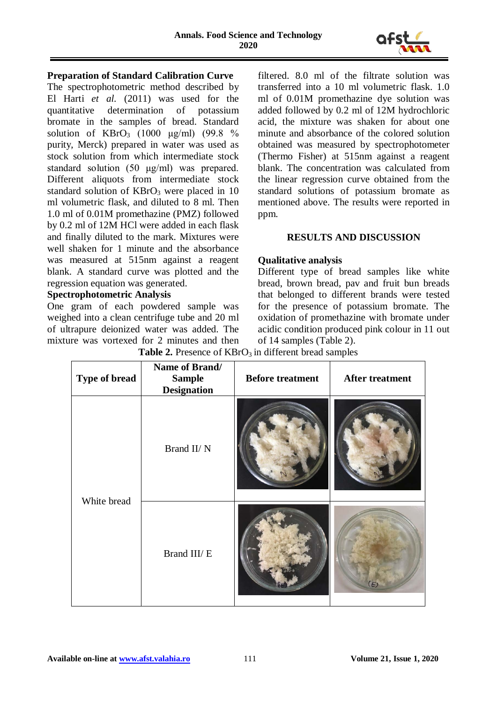

#### **Preparation of Standard Calibration Curve**

The spectrophotometric method described by El Harti *et al.* (2011) was used for the quantitative determination of potassium bromate in the samples of bread. Standard solution of  $KBrO<sub>3</sub>$  (1000 μg/ml) (99.8 %) purity, Merck) prepared in water was used as stock solution from which intermediate stock standard solution (50 μg/ml) was prepared. Different aliquots from intermediate stock standard solution of  $KBrO<sub>3</sub>$  were placed in 10 ml volumetric flask, and diluted to 8 ml. Then 1.0 ml of 0.01M promethazine (PMZ) followed by 0.2 ml of 12M HCl were added in each flask and finally diluted to the mark. Mixtures were well shaken for 1 minute and the absorbance was measured at 515nm against a reagent blank. A standard curve was plotted and the regression equation was generated.

#### **Spectrophotometric Analysis**

One gram of each powdered sample was weighed into a clean centrifuge tube and 20 ml of ultrapure deionized water was added. The mixture was vortexed for 2 minutes and then

filtered. 8.0 ml of the filtrate solution was transferred into a 10 ml volumetric flask. 1.0 ml of 0.01M promethazine dye solution was added followed by 0.2 ml of 12M hydrochloric acid, the mixture was shaken for about one minute and absorbance of the colored solution obtained was measured by spectrophotometer (Thermo Fisher) at 515nm against a reagent blank. The concentration was calculated from the linear regression curve obtained from the standard solutions of potassium bromate as mentioned above. The results were reported in ppm.

### **RESULTS AND DISCUSSION**

#### **Qualitative analysis**

Different type of bread samples like white bread, brown bread, pav and fruit bun breads that belonged to different brands were tested for the presence of potassium bromate. The oxidation of promethazine with bromate under acidic condition produced pink colour in 11 out of 14 samples (Table 2).

**Table 2.** Presence of  $KBrO<sub>3</sub>$  in different bread samples

| Type of bread | Name of Brand/<br><b>Sample</b><br><b>Designation</b> | <b>Before treatment</b> | <b>After treatment</b> |
|---------------|-------------------------------------------------------|-------------------------|------------------------|
| White bread   | Brand II/ N                                           |                         |                        |
|               | Brand III/E                                           |                         |                        |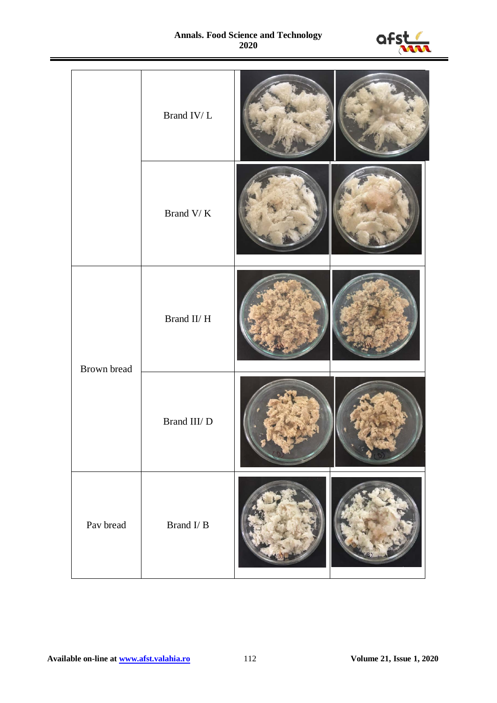#### **Annals. Food Science and Technology 2020**



|             | Brand IV/ $\cal L$ |  |
|-------------|--------------------|--|
|             | Brand V/ $\rm K$   |  |
| Brown bread | Brand II/ H        |  |
|             | Brand III/ D       |  |
| Pav bread   | Brand $I/B$        |  |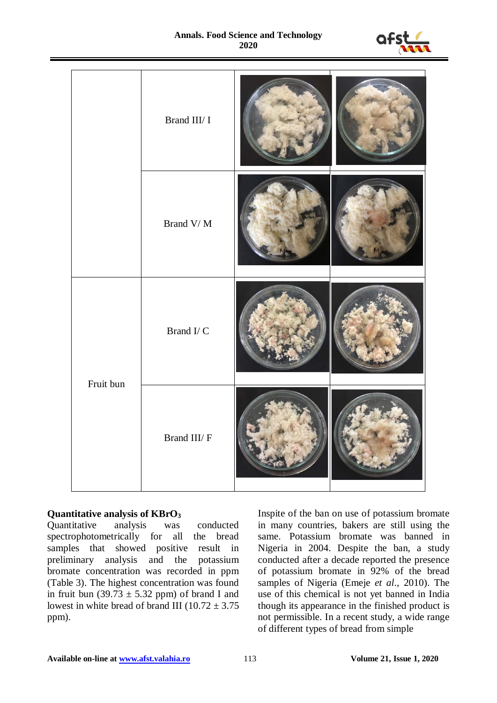#### **Annals. Food Science and Technology 2020**



|           | Brand III/ I                    |  |
|-----------|---------------------------------|--|
|           | Brand $\mathrm{V}/\,\mathrm{M}$ |  |
| Fruit bun | Brand I/ $C$                    |  |
|           | Brand III/ ${\rm F}$            |  |

# **Quantitative analysis of KBrO<sub>3</sub>**<br>Quantitative analysis was

Quantitative analysis was conducted spectrophotometrically for all the bread samples that showed positive result in preliminary analysis and the potassium bromate concentration was recorded in ppm (Table 3). The highest concentration was found in fruit bun (39.73  $\pm$  5.32 ppm) of brand I and lowest in white bread of brand III ( $10.72 \pm 3.75$ ) ppm).

Inspite of the ban on use of potassium bromate in many countries, bakers are still using the same. Potassium bromate was banned in Nigeria in 2004. Despite the ban, a study conducted after a decade reported the presence of potassium bromate in 92% of the bread samples of Nigeria (Emeje *et al*., 2010). The use of this chemical is not yet banned in India though its appearance in the finished product is not permissible. In a recent study, a wide range of different types of bread from simple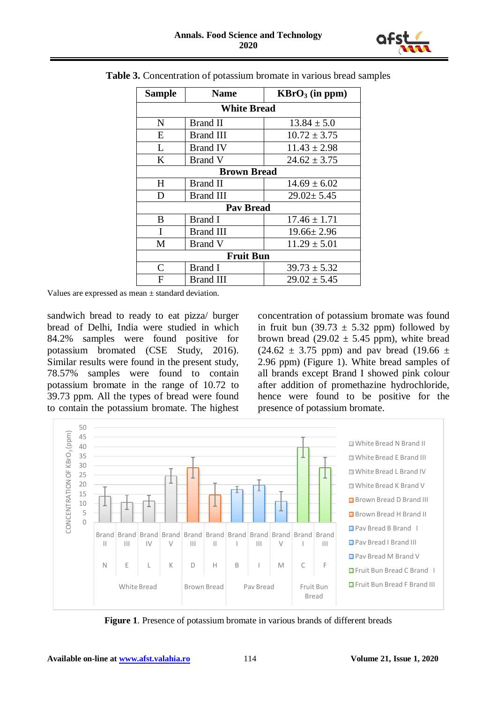

| <b>Sample</b>      | <b>Name</b>     | $KBrO3$ (in ppm) |  |
|--------------------|-----------------|------------------|--|
| <b>White Bread</b> |                 |                  |  |
| N                  | Brand II        | $13.84 \pm 5.0$  |  |
| E                  | Brand III       | $10.72 \pm 3.75$ |  |
| L                  | <b>Brand IV</b> | $11.43 \pm 2.98$ |  |
| K                  | Brand V         | $24.62 \pm 3.75$ |  |
| <b>Brown Bread</b> |                 |                  |  |
| H                  | Brand II        | $14.69 \pm 6.02$ |  |
| D                  | Brand III       | $29.02 \pm 5.45$ |  |
| <b>Pav Bread</b>   |                 |                  |  |
| B                  | <b>Brand I</b>  | $17.46 \pm 1.71$ |  |
| I                  | Brand III       | $19.66 \pm 2.96$ |  |
| M                  | Brand V         | $11.29 \pm 5.01$ |  |
| <b>Fruit Bun</b>   |                 |                  |  |
| $\mathsf{C}$       | Brand I         | $39.73 \pm 5.32$ |  |
| F                  | Brand III       | $29.02 \pm 5.45$ |  |

**Table 3.** Concentration of potassium bromate in various bread samples

Values are expressed as mean ± standard deviation.

sandwich bread to ready to eat pizza/ burger bread of Delhi, India were studied in which 84.2% samples were found positive for potassium bromated (CSE Study, 2016). Similar results were found in the present study, 78.57% samples were found to contain potassium bromate in the range of 10.72 to 39.73 ppm. All the types of bread were found to contain the potassium bromate. The highest concentration of potassium bromate was found in fruit bun (39.73  $\pm$  5.32 ppm) followed by brown bread (29.02  $\pm$  5.45 ppm), white bread  $(24.62 \pm 3.75 \text{ ppm})$  and pav bread  $(19.66 \pm 1)$ 2.96 ppm) (Figure 1). White bread samples of all brands except Brand I showed pink colour after addition of promethazine hydrochloride, hence were found to be positive for the presence of potassium bromate.



**Figure 1**. Presence of potassium bromate in various brands of different breads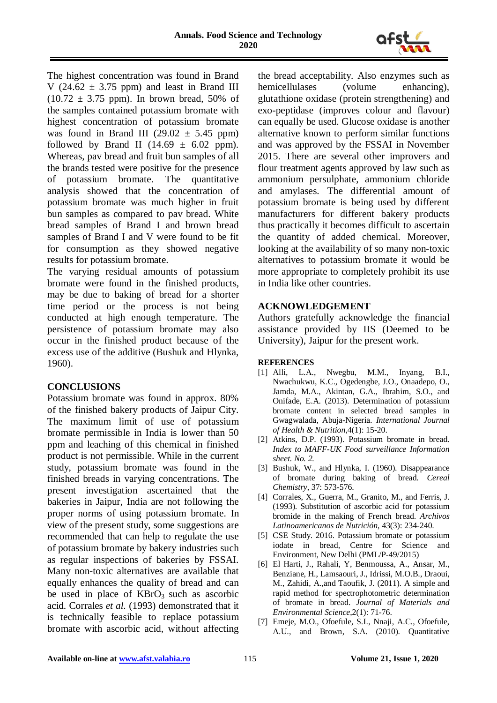

The highest concentration was found in Brand V (24.62  $\pm$  3.75 ppm) and least in Brand III  $(10.72 \pm 3.75 \text{ ppm})$ . In brown bread, 50% of the samples contained potassium bromate with highest concentration of potassium bromate was found in Brand III (29.02  $\pm$  5.45 ppm) followed by Brand II (14.69  $\pm$  6.02 ppm). Whereas, pav bread and fruit bun samples of all the brands tested were positive for the presence of potassium bromate. The quantitative analysis showed that the concentration of potassium bromate was much higher in fruit bun samples as compared to pav bread. White bread samples of Brand I and brown bread samples of Brand I and V were found to be fit for consumption as they showed negative results for potassium bromate.

The varying residual amounts of potassium bromate were found in the finished products, may be due to baking of bread for a shorter time period or the process is not being conducted at high enough temperature. The persistence of potassium bromate may also occur in the finished product because of the excess use of the additive (Bushuk and Hlynka, 1960).

### **CONCLUSIONS**

Potassium bromate was found in approx. 80% of the finished bakery products of Jaipur City. The maximum limit of use of potassium bromate permissible in India is lower than 50 ppm and leaching of this chemical in finished product is not permissible. While in the current study, potassium bromate was found in the finished breads in varying concentrations. The present investigation ascertained that the bakeries in Jaipur, India are not following the proper norms of using potassium bromate. In view of the present study, some suggestions are recommended that can help to regulate the use of potassium bromate by bakery industries such as regular inspections of bakeries by FSSAI. Many non-toxic alternatives are available that equally enhances the quality of bread and can be used in place of  $KBrO<sub>3</sub>$  such as ascorbic acid. Corrales *et al.* (1993) demonstrated that it is technically feasible to replace potassium bromate with ascorbic acid, without affecting

the bread acceptability. Also enzymes such as hemicellulases (volume enhancing), glutathione oxidase (protein strengthening) and exo-peptidase (improves colour and flavour) can equally be used. Glucose oxidase is another alternative known to perform similar functions and was approved by the FSSAI in November 2015. There are several other improvers and flour treatment agents approved by law such as ammonium persulphate, ammonium chloride and amylases. The differential amount of potassium bromate is being used by different manufacturers for different bakery products thus practically it becomes difficult to ascertain the quantity of added chemical. Moreover, looking at the availability of so many non-toxic alternatives to potassium bromate it would be more appropriate to completely prohibit its use in India like other countries.

#### **ACKNOWLEDGEMENT**

Authors gratefully acknowledge the financial assistance provided by IIS (Deemed to be University), Jaipur for the present work.

#### **REFERENCES**

- [1] Alli, L.A., Nwegbu, M.M., Inyang, B.I., Nwachukwu, K.C., Ogedengbe, J.O., Onaadepo, O., Jamda, M.A., Akintan, G.A., Ibrahim, S.O., and Onifade, E.A. (2013). Determination of potassium bromate content in selected bread samples in Gwagwalada, Abuja-Nigeria*. International Journal of Health & Nutrition*,4(1): 15-20.
- [2] Atkins, D.P. (1993). Potassium bromate in bread. *Index to MAFF-UK Food surveillance Information sheet. No. 2.*
- [3] Bushuk, W., and Hlynka, I. (1960). Disappearance of bromate during baking of bread*. Cereal Chemistry*, 37: 573-576.
- [4] Corrales, X., Guerra, M., Granito, M., and Ferris, J. (1993). Substitution of ascorbic acid for potassium bromide in the making of French bread. *Archivos Latinoamericanos de Nutrición*, 43(3): 234-240.
- [5] CSE Study. 2016. Potassium bromate or potassium iodate in bread, Centre for Science and Environment, New Delhi (PML/P-49/2015)
- [6] El Harti, J., Rahali, Y, Benmoussa, A., Ansar, M., Benziane, H., Lamsaouri, J., Idrissi, M.O.B., Draoui, M., Zahidi, A.,and Taoufik, J. (2011). A simple and rapid method for spectrophotometric determination of bromate in bread. *Journal of Materials and Environmental Science*,2(1): 71-76.
- [7] Emeje, M.O., Ofoefule, S.I., Nnaji, A.C., Ofoefule, A.U., and Brown, S.A. (2010). Quantitative